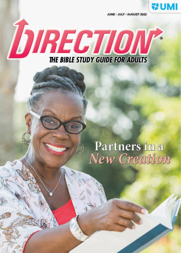

 $^{\circ}$ 

JUNE · JULY · AUGUST 2022

# **DIRECTION**

# Partners in a New Creation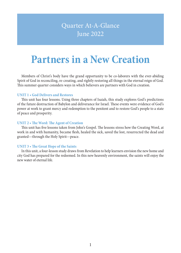# Quarter At-A-Glance June 2022

# **Partners in a New Creation**

Members of Christ's body have the grand opportunity to be co-laborers with the ever-abiding Spirit of God in reconciling, re-creating, and rightly restoring all things in the eternal reign of God. This summer quarter considers ways in which believers are partners with God in creation.

#### **UNIT 1 • God Delivers and Restores**

This unit has four lessons. Using three chapters of Isaiah, this study explores God's predictions of the future destruction of Babylon and deliverance for Israel. These events were evidence of God's power at work to grant mercy and redemption to the penitent and to restore God's people to a state of peace and prosperity.

#### **UNIT 2 • The Word: The Agent of Creation**

This unit has five lessons taken from John's Gospel. The lessons stress how the Creating Word, at work in and with humanity, became flesh, healed the sick, saved the lost, resurrected the dead and granted—through the Holy Spirit—peace.

#### **UNIT 3 • The Great Hope of the Saints**

In this unit, a four-lesson study draws from Revelation to help learners envision the new home and city God has prepared for the redeemed. In this new heavenly environment, the saints will enjoy the new water of eternal life.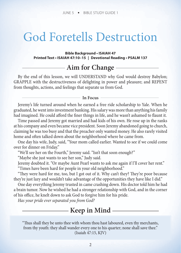# God Foretells Destruction

**Bible Background • ISAIAH 47 Printed Text • ISAIAH 47:10–15 | Devotional Reading • PSALM 137**

# **Aim for Change**

By the end of this lesson, we will UNDERSTAND why God would destroy Babylon; GRAPPLE with the destructiveness of delighting in power and pleasure; and REPENT from thoughts, actions, and feelings that separate us from God.

#### **In Focus**

Jeremy's life turned around when he earned a free ride scholarship to Yale. When he graduated, he went into investment banking. His salary was more than anything his family had imagined. He could afford the finer things in life, and he wasn't ashamed to flaunt it.

Time passed and Jeremy got married and had kids of his own. He rose up in the ranks at his company and even became vice president. Soon Jeremy abandoned going to church, claiming he was too busy and that the preacher only wanted money. He also rarely visited home and often talked down about the neighborhood where he came from.

One day his wife, Judy, said, "Your mom called earlier. Wanted to see if we could come over for dinner on Friday."

"We'll see her on the Fourth," Jeremy said. "Isn't that soon enough?"

"Maybe she just wants to see her son," Judy said.

Jeremy doubted it. "Or maybe Aunt Pearl wants to ask me again if I'll cover her rent." "Times have been hard for people in your old neighborhood."

"They were hard for me, too, but I got out of it. Why can't they? They're poor because they're just lazy and wouldn't take advantage of the opportunities they have like I did."

One day everything Jeremy trusted in came crashing down. His doctor told him he had a brain tumor. Now he wished he had a stronger relationship with God, and in the corner of his office, he knelt down to ask God to forgive him for his pride.

*Has your pride ever separated you from God?*

# **Keep in Mind**

"Thus shall they be unto thee with whom thou hast laboured, even thy merchants, from thy youth: they shall wander every one to his quarter; none shall save thee." (Isaiah 47:15, KJV)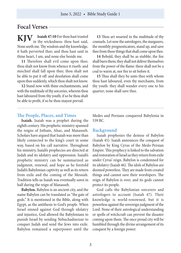# **Focal Verses**

**KJV Isaiah 47:10** For thou hast trusted in thy wickedness: thou hast said, None seeth me. Thy wisdom and thy knowledge, it hath perverted thee; and thou hast said in thine heart, I am, and none else beside me.

**11** Therefore shall evil come upon thee; thou shalt not know from whence it riseth: and mischief shall fall upon thee; thou shalt not be able to put it off: and desolation shall come upon thee suddenly, which thou shalt not know.

**12** Stand now with thine enchantments, and with the multitude of thy sorceries, wherein thou hast laboured from thy youth; if so be thou shalt be able to profit, if so be thou mayest prevail.

**13** Thou art wearied in the multitude of thy counsels. Let now the astrologers, the stargazers, the monthly prognosticators, stand up, and save thee from these things that shall come upon thee.

**14** Behold, they shall be as stubble; the fire shall burn them; they shall not deliver themselves from the power of the flame: there shall not be a coal to warm at, nor fire to sit before it.

**15** Thus shall they be unto thee with whom thou hast laboured, even thy merchants, from thy youth: they shall wander every one to his quarter; none shall save thee.

#### **The People, Places, and Times**

**Isaiah.** Isaiah was a prophet during the eighth century. His prophetic ministry spanned the reigns of Jotham, Ahaz, and Manasseh. Scholars have argued that Isaiah was more than likely connected to the king's court in some way, based on his call narrative. Throughout his ministry, Isaiah's prophecies are directed at Judah and its idolatry and oppression. Isaiah's prophetic ministry can be summarized as judgment, renewal, and hope as he foretold Judah's Babylonian captivity as well as its return from exile and the coming of the Messiah. Tradition tells us Isaiah was eventually sawn in half during the reign of Manasseh.

**Babylon.** Babylon is an ancient city, and the name Babylon can be translated as "the gate of gods." It is mentioned in the Bible, along with Egypt, as the antithesis to God's people. When Israel sinned against God through idolatry and injustice, God allowed the Babylonians to punish Israel by sending Nebuchadnezzar to conquer Judah and send the Jews into exile. Babylon remained a superpower until the

Medes and Persians conquered Babylonia in 539 BC.

#### **Background**

Isaiah prophesies the demise of Babylon (Isaiah 45). Isaiah announces the conquest of Babylon by King Cyrus of the Medo-Persian Empire. This prophecy is linked to the salvation and restoration of Israel as they return from exile under Cyrus' reign. Babylon is condemned for its idolatry (Isaiah 46). The idols of Babylon are deemed powerless. They are made from created things and cannot save their worshipers. The reign of Babylon is over, and its gods cannot protect its people.

God calls the Babylonian sorcerers and astrologers to account (Isaiah 47). Their knowledge is world-renowned, but it is powerless against the sovereign judgment of the Lord. None of their astrological understanding or spells of witchcraft can prevent the disaster coming upon them. The once proud city will be humbled through the divine arrangement of its conquest by a foreign power.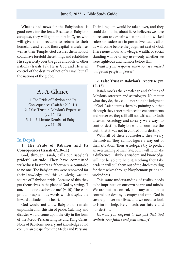What is bad news for the Babylonians is good news for the Jews. Because of Babylon's conquest, they will gain an ally in Cyrus who will give them freedom to return to their homeland and rebuild their capital Jerusalem as well as their Temple. God assures them no idol could have foretold these things and establishes His superiority over the gods and idols of other nations (Isaiah 48). He is God and He is in control of the destiny of not only Israel but all the nations of the globe.

# **At-A-Glance**

1. The Pride of Babylon and Its Consequences (Isaiah 47:10–11) 2. False Trust in Babylon's Expertise (vv. 12–13) 3. The Ultimate Demise of Babylon (vv. 14–15)

#### **In Depth**

**1. The Pride of Babylon and Its Consequences (Isaiah 47:10–11)**

God, through Isaiah, calls out Babylon's prideful attitude. They have committed wickedness brazenly as if they were accountable to no one. The Babylonians were renowned for their knowledge, and this knowledge was the source of Babylon's pride. Because of this they put themselves in the place of God by saying, "I am, and none else beside me" (v. 10). These are proud, blasphemous words which display the inward attitude of the heart.

God would not allow Babylon to remain unpunished for this sin of pride. Calamity and disaster would come upon the city in the form of the Medo-Persian Empire and King Cyrus. None of Babylon's sorcery and knowledge could conjure an escape from the Medes and Persians. Their kingdom would be taken over, and they could do nothing about it. As believers we have no reason to despair when proud and wicked rulers or leaders are in power. Eventually all of us will come before the judgment seat of God. There none of our knowledge, wealth, or social standing will be of any use—only whether we were righteous and humble before Him.

*What is your response when you see wicked and proud people in power?*

#### **2. False Trust in Babylon's Expertise (vv. 12–13)**

Isaiah mocks the knowledge and abilities of Babylon's sorcerers and astrologers. No matter what they do, they could not stop the judgment of God. Isaiah taunts them by pointing out that although they are experienced in enchantments and sorceries, they still will not withstand God's disaster. Astrology and sorcery were ways to control destiny. Babylon would soon face the truth that it was not in control of its destiny.

With all of their counselors, they weary themselves. They cannot figure a way out of their situation. Their astrologers try to predict an overturning of their fate, but it will not make a difference. Babylon's wisdom and knowledge will not be able to help it. Nothing they take pride in will pull them out of the ditch they dug for themselves through blasphemous pride and wickedness.

This same understanding of reality needs to be imprinted on our own hearts and minds. We are not in control, and any attempt to control our destiny is empty and vain. God is sovereign over our lives, and we need to look to Him for help. He controls our future and our destiny.

*How do you respond to the fact that God controls your future and your destiny?*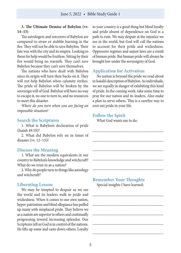#### **3. The Ultimate Demise of Babylon (vv. 14–15)**

The astrologers and sorcerers of Babylon are compared to straw or stubble burning in the fire. They will not be able to save Babylon. Their fate was with the city and its empire. Looking to them for help would be fruitless. Sitting by their fire would bring no warmth. They can't save Babylon because they can't save themselves.

The nations who have dealt with Babylon since its origin will turn their backs on it. They will not help Babylon when calamity strikes. The pride of Babylon will be broken by the sovereign will of God. Babylon will have no way to escape it, no one to turn to, and no resources to meet this disaster.

*Where do you turn when you are facing an impossible situation?*

#### **Search the Scriptures**

1. What is Babylon's declaration of pride (Isaiah 49:10)?

2. What did Babylon rely on in times of disaster (vv. 12–13)?

#### **Discuss the Meaning**

1. What are the modern equivalents in our country to Babylon's knowledge and witchcraft? What do we trust in as a nation?

2. Why do people turn to things like astrology and witchcraft?

#### **Liberating Lesson**

We may be tempted to despair as we see the world and its leaders walk in pride and wickedness. When it comes to our own nation, hyper-patriotism and blind allegiance has puffed up many with misplaced pride. They believe we as a nation are superior to others and continually progressing toward increasing splendor. Our Scriptures tell us God is in control of the nations. He lifts up some and casts down others. Loyalty

to your country is a good thing but blind loyalty and pride absent of dependence on God is a path to ruin. We may despair at the injustice we see in the world, but God will call the nations to account for their pride and wickedness. Oppressive regimes and unjust laws are a result of human pride. But human pride will always be brought low under the sovereignty of God.

#### **Application for Activation**

No nation is beyond the pride we read about in Isaiah's description of Babylon. As individuals, we are equally in danger of exhibiting this kind of pride. In the coming week, take some time to pray for our nation and its leaders. Also make a plan to serve others. This is a surefire way to root out pride in your life.

\_\_\_\_\_\_\_\_\_\_\_\_\_\_\_\_\_\_\_\_\_\_\_\_\_\_\_\_\_\_\_\_\_\_\_\_\_\_

\_\_\_\_\_\_\_\_\_\_\_\_\_\_\_\_\_\_\_\_\_\_\_\_\_\_\_\_\_\_\_\_\_\_\_\_\_\_

\_\_\_\_\_\_\_\_\_\_\_\_\_\_\_\_\_\_\_\_\_\_\_\_\_\_\_\_\_\_\_\_\_\_\_\_\_\_

\_\_\_\_\_\_\_\_\_\_\_\_\_\_\_\_\_\_\_\_\_\_\_\_\_\_\_\_\_\_\_\_\_\_\_\_\_\_

\_\_\_\_\_\_\_\_\_\_\_\_\_\_\_\_\_\_\_\_\_\_\_\_\_\_\_\_\_\_\_\_\_\_\_\_\_\_

\_\_\_\_\_\_\_\_\_\_\_\_\_\_\_\_\_\_\_\_\_\_\_\_\_\_\_\_\_\_\_\_\_\_\_\_\_\_

\_\_\_\_\_\_\_\_\_\_\_\_\_\_\_\_\_\_\_\_\_\_\_\_\_\_\_\_\_\_\_\_\_\_\_\_\_\_

\_\_\_\_\_\_\_\_\_\_\_\_\_\_\_\_\_\_\_\_\_\_\_\_\_\_\_\_\_\_\_\_\_\_\_\_\_\_

\_\_\_\_\_\_\_\_\_\_\_\_\_\_\_\_\_\_\_\_\_\_\_\_\_\_\_\_\_\_\_\_\_\_\_\_\_\_

\_\_\_\_\_\_\_\_\_\_\_\_\_\_\_\_\_\_\_\_\_\_\_\_\_\_\_\_\_\_\_\_\_\_\_\_\_\_

#### **Follow the Spirit**

What God wants me to do:

#### **Remember Your Thoughts**

Special insights I have learned: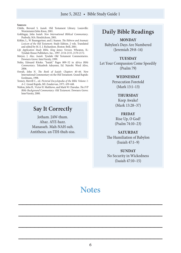#### June 5, 2022 • Bible Study Guide 1

#### **Sources:**

- Childs, Brevard S. *Isaiah*. Old Testament Library. Louisville: Westminster/John Knox, 2001.
- Goldingay, John *Isaiah: New International Biblical Commentary*. Peabody, MA: Hendrickson, 2001.
- Köhler, L., W. Baumgartner, and J. Stamm. *The Hebrew and Aramaic Lexicon of the Old Testament*. Study Edition. 2 vols. Translated and edited by M. E. J. Richardson. Boston: Brill, 2001.
- *Life Application Study Bible, King James Version*. Wheaton, IL: Tyndale House Publishers, Inc., 1997. 2154-2155, 2170-2172.
- Motyer, J. Alec. *Isaiah*. Tyndale Old Testament Commentaries. Downers Grove: InterVarsity, 1999.
- Nsiku, Edouard Kitoko. "Isaiah." Pages 809–52 in *Africa Bible Commentary*. Tokunboh Adeyemo, Ed. Nairobi: Word Alive, 2006.
- Oswalt, John N. *The Book of Isaiah: Chapters 40–66*. New International Commentary on the Old Testament. Grand Rapids: Eerdmans, 1998.
- Tenney, Merrill C., ed. *Pictorial Encyclopedia of the Bible Volume 1: A-C*. Grand Rapids, MI: Zondervan, 1975. 439-448.
- Walton, John H., Victor H. Matthews, and Mark W. Chavalas. *The IVP Bible Background Commentary: Old Testament*. Downers Grove: InterVarsity, 2000.

# **Say It Correctly**

Jotham. JAW-thum. Ahaz. AYE-hazz. Manasseh. Mah-NAH-suh. Antithesis. an-TIH-thuh-siss.

# **Daily Bible Readings**

**MONDAY** Babylon's Days Are Numbered (Jeremiah 29:8–14)

#### **TUESDAY**

Let Your Compassion Come Speedily (Psalm 79)

#### **WEDNESDAY**

Persecution Foretold (Mark 13:1–13)

#### **THURSDAY**

Keep Awake! (Mark 13:28–37)

#### **FRIDAY**

Rise Up, O God! (Psalm 74:10–23)

#### **SATURDAY**

The Humiliation of Babylon (Isaiah 47:1–9)

#### **SUNDAY**

No Security in Wickedness (Isaiah 47:10–15)

# **Notes**

 $\overline{\phantom{a}}$  , and the contract of the contract of the contract of the contract of the contract of the contract of the contract of the contract of the contract of the contract of the contract of the contract of the contrac

 $\overline{\phantom{a}}$  , and the contract of the contract of the contract of the contract of the contract of the contract of the contract of the contract of the contract of the contract of the contract of the contract of the contrac

 $\overline{\phantom{a}}$  , and the contract of the contract of the contract of the contract of the contract of the contract of the contract of the contract of the contract of the contract of the contract of the contract of the contrac

 $\overline{\phantom{a}}$  , and the contract of the contract of the contract of the contract of the contract of the contract of the contract of the contract of the contract of the contract of the contract of the contract of the contrac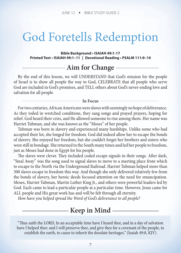# God Foretells Redemption

**Bible Background • ISAIAH 49:1-17 Printed Text • ISAIAH 49:1–11 | Devotional Reading • PSALM 111:9–10**

# **Aim for Change**

By the end of this lesson, we will UNDERSTAND that God's mission for the people of Israel is to show all people the way to God, CELEBRATE that all people who serve God are included in God's promises, and TELL others about God's never-ending love and salvation for all people.

 **In Focus** 

For two centuries, African Americans were slaves with seemingly no hope of deliverance. As they toiled in wretched conditions, they sang songs and prayed prayers, hoping for relief. God heard their cries, and He allowed someone to rise among them. Her name was Harriet Tubman, and she was known as the "Moses" of her people.

Tubman was born in slavery and experienced many hardships. Unlike some who had accepted their lot, she longed for freedom. God did indeed allow her to escape the bonds of slavery. She enjoyed her freedom, but she couldn't forget her brothers and sisters who were still in bondage. She returned to the South many times and led her people to freedom, just as Moses had done in Egypt for his people.

The slaves were clever. They included coded escape signals in their songs. After dark, "Steal Away" was the song used to signal slaves to move to a meeting place from which to escape to the North via the Underground Railroad. Harriet Tubman helped more than 300 slaves escape to freedom this way. And though she only delivered relatively few from the bonds of slavery, her heroic deeds focused attention on the need for emancipation. Moses, Harriet Tubman, Martin Luther King Jr., and others were powerful leaders led by God. Each came to lead a particular people at a particular time. However, Jesus came for ALL people and His great work has and will be felt through all eternity.

*How have you helped spread the Word of God's deliverance to all people?*

# **Keep in Mind**

"Thus saith the LORD, In an acceptable time have I heard thee, and in a day of salvation have I helped thee: and I will preserve thee, and give thee for a covenant of the people, to establish the earth, to cause to inherit the desolate heritages." (Isaiah 49:8, KJV)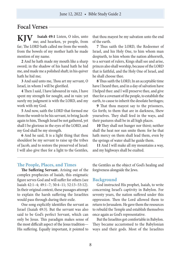# **Focal Verses**

**KJV Isaiah 49:1** Listen, O isles, unto me; and hearken, ye people, from far; The LORD hath called me from the womb; from the bowels of my mother hath he made mention of my name.

**2** And he hath made my mouth like a sharp sword; in the shadow of his hand hath he hid me, and made me a polished shaft; in his quiver hath he hid me;

**3** And said unto me, Thou art my servant, O Israel, in whom I will be glorified.

**4** Then I said, I have laboured in vain, I have spent my strength for nought, and in vain: yet surely my judgment is with the LORD, and my work with my God.

**5** And now, saith the LORD that formed me from the womb to be his servant, to bring Jacob again to him, Though Israel be not gathered, yet shall I be glorious in the eyes of the LORD, and my God shall be my strength.

**6** And he said, It is a light thing that thou shouldest be my servant to raise up the tribes of Jacob, and to restore the preserved of Israel: I will also give thee for a light to the Gentiles, that thou mayest be my salvation unto the end of the earth.

**7** Thus saith the LORD, the Redeemer of Israel, and his Holy One, to him whom man despiseth, to him whom the nation abhorreth, to a servant of rulers, Kings shall see and arise, princes also shall worship, because of the LORD that is faithful, and the Holy One of Israel, and he shall choose thee.

**8** Thus saith the LORD, In an acceptable time have I heard thee, and in a day of salvation have I helped thee: and I will preserve thee, and give thee for a covenant of the people, to establish the earth, to cause to inherit the desolate heritages;

**9** That thou mayest say to the prisoners, Go forth; to them that are in darkness, Shew yourselves. They shall feed in the ways, and their pastures shall be in all high places.

**10** They shall not hunger nor thirst; neither shall the heat nor sun smite them: for he that hath mercy on them shall lead them, even by the springs of water shall he guide them.

**11** And I will make all my mountains a way, and my highways shall be exalted.

#### **The People, Places, and Times**

**The Suffering Servant.** Arising out of the complex prophecies of Isaiah, this enigmatic figure serves God and will suffer for others (see Isaiah 42:1–4; 49:1–7; 50:4–11; 52:13–53:12). In their original context, these passages attempt to explain the harsh suffering the Israelites would pass through during their exile.

One song explicitly identifies the servant as Israel (Isaiah 49:3). But the servant was also said to be God's perfect Servant, which can only be Jesus. This paradigm makes sense of the most difficult aspect of the Jesus tradition— His suffering. Equally important, it pointed to

the Gentiles as the object of God's healing and forgiveness alongside the Jews.

#### **Background**

God instructed His prophet, Isaiah, to write concerning Israel's captivity in Babylon. For seventy years, the nation suffered under this oppression. Then the Lord allowed them to return to Jerusalem. He gave them the resources to rebuild the Temple and establish themselves once again as God's representative.

But the Israelites got comfortable in Babylon. They became accustomed to the Babylonian ways and their gods. Most of the Israelites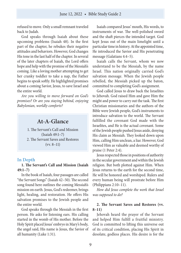refused to move. Only a small remnant traveled back to Judah.

God speaks through Isaiah about these upcoming problems (Isaiah 48). In the first part of the chapter, he rebukes their negative attitudes and behaviors. However, God changes His tone in the last half of the chapter. In several of the later chapters of Isaiah, the Lord offers hope and help with the promise of the Messiah's coming. Like a loving mother attempting to get her cranky toddler to take a nap, the Father begins to speak softly. He highlighted promises about a coming Savior, Jesus, to save Israel and the entire world.

*Are you willing to move forward on God's promises? Or are you staying behind, enjoying Babylonian, worldly comforts?* 

## **At-A-Glance**

1. The Servant's Call and Mission (Isaiah 49:1–7) 2. The Servant Saves and Restores (vv. 8–11)

#### **In Depth**

#### **1. The Servant's Call and Mission (Isaiah 49:1–7)**

In the book of Isaiah, four passages are called "the Servant Songs" (Isaiah 42–50). The second song found here outlines the coming Messiah's mission on earth. Jesus, God's redeemer, brings light, healing, and restoration. He offers His salvation promises to the Jewish people and the entire world.

God speaks through the Messiah in the first person. He asks for listening ears. His calling started in the womb of His mother. Before the Holy Spirit placed Jesus' embryo in Mary's body, the angel said, His name is Jesus, the Savior of all humanity (Luke 1:31).

Isaiah compared Jesus' mouth, His words, to instruments of war. The well-polished sword and the shaft pierces the intended target. God kept Jesus out of the main limelight until a particular time in history. At the appointed time, He introduced the Savior and His penetrating message (Galatians 4:4–5).

Isaiah calls the Servant, whom we now understand to be the Messiah, by the name Israel. This nation originally carried God's salvation message. When the Jewish people rebelled, the Messiah picked up the baton, committed to completing God's assignment.

God called Jesus to draw back the Israelites to Jehovah. God raised Him and gave Him the might and power to carry out the task. The first Christian missionaries and the authors of the Bible were Jewish people, God's instruments to introduce salvation to the world. The Servant fulfilled the covenant God made with the Israelites, and He is the actual covenant. Some of the Jewish people pushed Jesus aside, denying His claim as Messiah. They looked down upon Him, calling Him unclean, a liar. However, God viewed Him as valuable and deemed worthy of praise (1 Peter 2:4).

Jesus respected those in positions of authority in the secular government and within the Jewish religion. But both plotted against Him. When Jesus returns to the earth for the second time, He will be honored and worshiped. Rulers and every human being will prostrate before Him (Philippians 2:10–11).

*How did Jesus complete the work that Israel was supposed to do?*

#### **2. The Servant Saves and Restores (vv. 8–11)**

Jehovah heard the prayer of the Servant and helped Him fulfill a fruitful ministry. God is committed to lifting this universe out of its critical condition, placing His Spirit in desolate, godless places. His desire is for the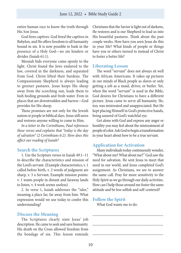entire human race to know the truth through His Son Jesus.

God frees captives. God freed the captives in Babylon, and He offers freedom to all humanity bound in sin. It is now possible to bask in the presence of a Holy God—no sin hinders or divides (Isaiah 61:1).

Messiah bids everyone come openly to the light. Christ found the Jews enslaved to the law, covered in the darkness, and separated from God. Christ lifted their burdens. The Compassionate Shepherd is always leading to greener pastures. Jesus keeps His sheep away from the scorching sun, leads them to lush feeding grounds and fresh water. Even in places that are downtrodden and barren—God provides for His sheep.

These promises are not only for the Jewish nation or people in biblical days. Jesus still saves and restores anyone willing to come to Him.

*In a letter to the Corinthians, Paul references these verses and explains that "today is the day of salvation" (2 Corinthians 6:2). How does this affect our reading of Isaiah?*

#### **Search the Scriptures**

1. Use the Scripture verses in Isaiah 49:1–11 to describe the characteristics and mission of the Lord's servant. (Example characteristics, v. 1 called before birth, v. 2 words of judgment are sharp, v. 3 a Servant; Example mission points: v. 1 wants people in distant and faraway lands to listen, v. 4 work seems useless)

2. In verse 1, Isaiah addresses the "isles," meaning a place far, far away from him. What expression would we use today to confer this understanding?

#### **Discuss the Meaning**

The Scriptures clearly state Jesus' job description. He came to seek and save humanity. His death on the Cross allowed freedom from the bondage of sin. This lesson reminds Christians that the Savior is light out of darkens, He restores and is our Shepherd to lead us into His beautiful pastures. Think about the past couple weeks. How have you seen Jesus do this in your life? What kinds of people or things have you or others turned to instead of Christ to foster a better life?

#### **Liberating Lesson**

The word "servant" does not always sit well with African Americans. It rakes up pictures in our minds of Black people as slaves or only getting a job as a maid, driver, or butler. Yet, when the word "servant" is used in the Bible, God desires for Christians to have a different picture. Jesus came to serve all humanity. He, too, was mistreated and unappreciated. But He kept placing Himself in God's protective hands, being assured of God's watchful eye.

Get alone with God and express any anger or hostility you may feel about the mistreatment of people of color. Ask God to begin a transformation in your heart about how to be a true servant.

#### **Application for Activation**

Many individuals today continuously wonder, "What about me? What about me?" God saw the need for salvation. He sent Jesus to meet that need in our world, and Jesus completed God's assignment. As Christians, we are to answer the same call. Pray for more sensitivity to the Holy Spirit as we go through our daily activities. How can I help those around me foster the same attitude and be less selfish and self-centered?

\_\_\_\_\_\_\_\_\_\_\_\_\_\_\_\_\_\_\_\_\_\_\_\_\_\_\_\_\_\_\_\_\_\_\_\_\_\_

\_\_\_\_\_\_\_\_\_\_\_\_\_\_\_\_\_\_\_\_\_\_\_\_\_\_\_\_\_\_\_\_\_\_\_\_\_\_

\_\_\_\_\_\_\_\_\_\_\_\_\_\_\_\_\_\_\_\_\_\_\_\_\_\_\_\_\_\_\_\_\_\_\_\_\_\_

#### **Follow the Spirit**

What God wants me to do: